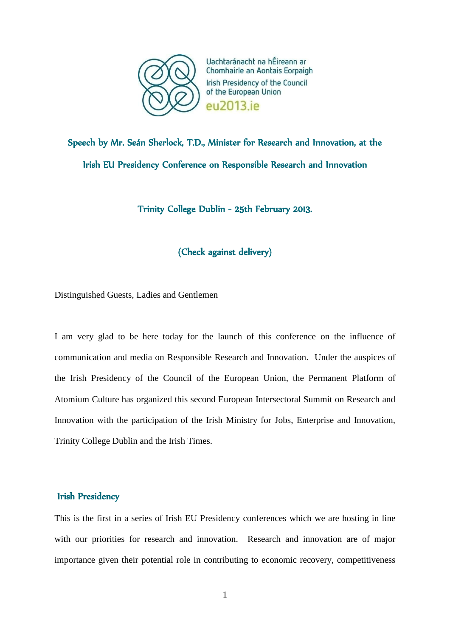

Uachtaránacht na hÉireann ar Chomhairle an Aontais Eorpaigh Irish Presidency of the Council of the European Union e112013 je

Speech by Mr. Seán Sherlock, T.D., Minister for Research and Innovation, at the Irish EU Presidency Conference on Responsible Research and Innovation

Trinity College Dublin - 25th February 2013.

(Check against delivery)

Distinguished Guests, Ladies and Gentlemen

I am very glad to be here today for the launch of this conference on the influence of communication and media on Responsible Research and Innovation. Under the auspices of the Irish Presidency of the Council of the European Union, the Permanent Platform of Atomium Culture has organized this second European Intersectoral Summit on Research and Innovation with the participation of the Irish Ministry for Jobs, Enterprise and Innovation, Trinity College Dublin and the Irish Times.

### Irish Presidency

This is the first in a series of Irish EU Presidency conferences which we are hosting in line with our priorities for research and innovation. Research and innovation are of major importance given their potential role in contributing to economic recovery, competitiveness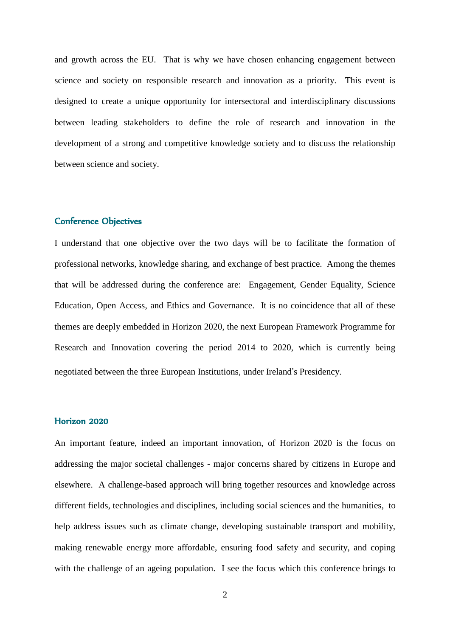and growth across the EU. That is why we have chosen enhancing engagement between science and society on responsible research and innovation as a priority. This event is designed to create a unique opportunity for intersectoral and interdisciplinary discussions between leading stakeholders to define the role of research and innovation in the development of a strong and competitive knowledge society and to discuss the relationship between science and society.

# Conference Objectives

I understand that one objective over the two days will be to facilitate the formation of professional networks, knowledge sharing, and exchange of best practice. Among the themes that will be addressed during the conference are: Engagement, Gender Equality, Science Education, Open Access, and Ethics and Governance. It is no coincidence that all of these themes are deeply embedded in Horizon 2020, the next European Framework Programme for Research and Innovation covering the period 2014 to 2020, which is currently being negotiated between the three European Institutions, under Ireland's Presidency.

# Horizon 2020

An important feature, indeed an important innovation, of Horizon 2020 is the focus on addressing the major societal challenges - major concerns shared by citizens in Europe and elsewhere. A challenge-based approach will bring together resources and knowledge across different fields, technologies and disciplines, including social sciences and the humanities, to help address issues such as climate change, developing sustainable transport and mobility, making renewable energy more affordable, ensuring food safety and security, and coping with the challenge of an ageing population. I see the focus which this conference brings to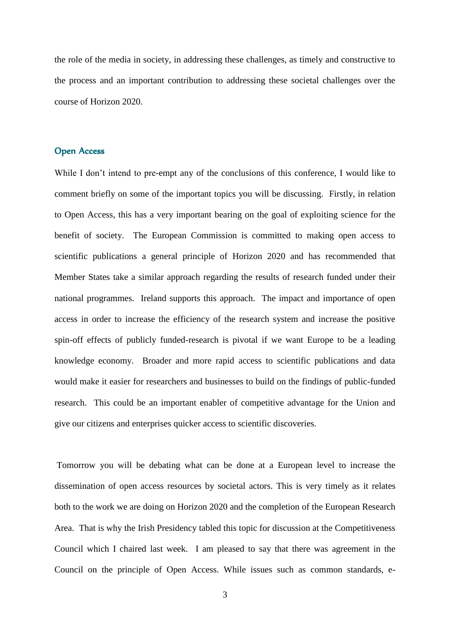the role of the media in society, in addressing these challenges, as timely and constructive to the process and an important contribution to addressing these societal challenges over the course of Horizon 2020.

#### Open Access

While I don't intend to pre-empt any of the conclusions of this conference, I would like to comment briefly on some of the important topics you will be discussing. Firstly, in relation to Open Access, this has a very important bearing on the goal of exploiting science for the benefit of society. The European Commission is committed to making open access to scientific publications a general principle of Horizon 2020 and has recommended that Member States take a similar approach regarding the results of research funded under their national programmes. Ireland supports this approach. The impact and importance of open access in order to increase the efficiency of the research system and increase the positive spin-off effects of publicly funded-research is pivotal if we want Europe to be a leading knowledge economy. Broader and more rapid access to scientific publications and data would make it easier for researchers and businesses to build on the findings of public-funded research. This could be an important enabler of competitive advantage for the Union and give our citizens and enterprises quicker access to scientific discoveries.

Tomorrow you will be debating what can be done at a European level to increase the dissemination of open access resources by societal actors. This is very timely as it relates both to the work we are doing on Horizon 2020 and the completion of the European Research Area. That is why the Irish Presidency tabled this topic for discussion at the Competitiveness Council which I chaired last week. I am pleased to say that there was agreement in the Council on the principle of Open Access. While issues such as common standards, e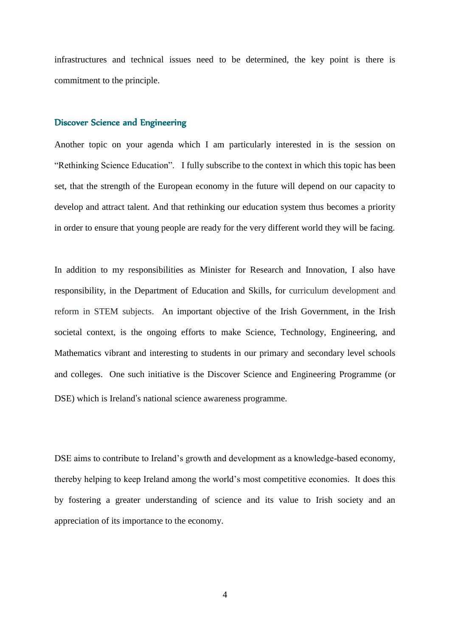infrastructures and technical issues need to be determined, the key point is there is commitment to the principle.

## Discover Science and Engineering

Another topic on your agenda which I am particularly interested in is the session on "Rethinking Science Education". I fully subscribe to the context in which this topic has been set, that the strength of the European economy in the future will depend on our capacity to develop and attract talent. And that rethinking our education system thus becomes a priority in order to ensure that young people are ready for the very different world they will be facing.

In addition to my responsibilities as Minister for Research and Innovation, I also have responsibility, in the Department of Education and Skills, for curriculum development and reform in STEM subjects. An important objective of the Irish Government, in the Irish societal context, is the ongoing efforts to make Science, Technology, Engineering, and Mathematics vibrant and interesting to students in our primary and secondary level schools and colleges. One such initiative is the Discover Science and Engineering Programme (or DSE) which is Ireland's national science awareness programme.

DSE aims to contribute to Ireland's growth and development as a knowledge-based economy, thereby helping to keep Ireland among the world's most competitive economies. It does this by fostering a greater understanding of science and its value to Irish society and an appreciation of its importance to the economy.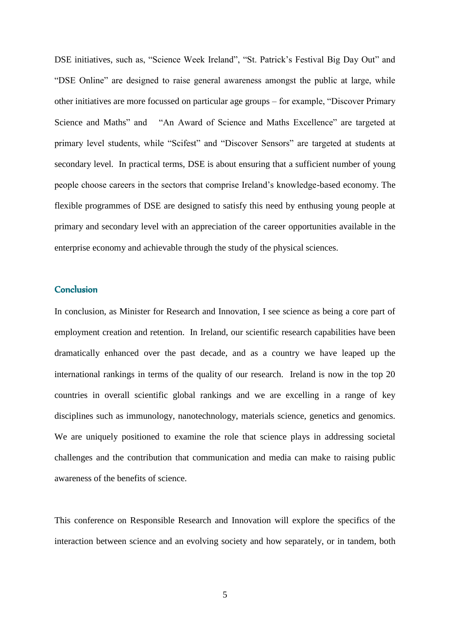DSE initiatives, such as, "Science Week Ireland", "St. Patrick's Festival Big Day Out" and "DSE Online" are designed to raise general awareness amongst the public at large, while other initiatives are more focussed on particular age groups – for example, "Discover Primary Science and Maths" and "An Award of Science and Maths Excellence" are targeted at primary level students, while "Scifest" and "Discover Sensors" are targeted at students at secondary level. In practical terms, DSE is about ensuring that a sufficient number of young people choose careers in the sectors that comprise Ireland's knowledge-based economy. The flexible programmes of DSE are designed to satisfy this need by enthusing young people at primary and secondary level with an appreciation of the career opportunities available in the enterprise economy and achievable through the study of the physical sciences.

## **Conclusion**

In conclusion, as Minister for Research and Innovation, I see science as being a core part of employment creation and retention. In Ireland, our scientific research capabilities have been dramatically enhanced over the past decade, and as a country we have leaped up the international rankings in terms of the quality of our research. Ireland is now in the top 20 countries in overall scientific global rankings and we are excelling in a range of key disciplines such as immunology, nanotechnology, materials science, genetics and genomics. We are uniquely positioned to examine the role that science plays in addressing societal challenges and the contribution that communication and media can make to raising public awareness of the benefits of science.

This conference on Responsible Research and Innovation will explore the specifics of the interaction between science and an evolving society and how separately, or in tandem, both